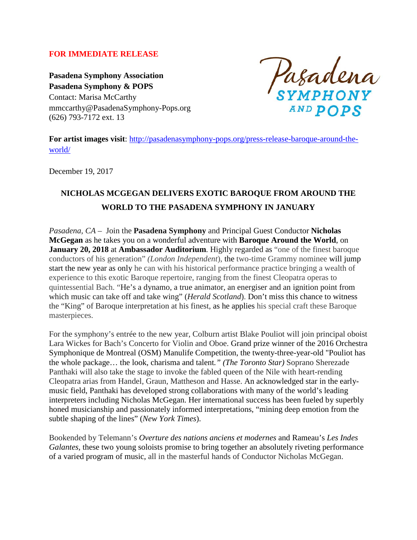#### **FOR IMMEDIATE RELEASE**

**Pasadena Symphony Association Pasadena Symphony & POPS** Contact: Marisa McCarthy mmccarthy@PasadenaSymphony-Pops.org (626) 793-7172 ext. 13

Pasadena AND POPS

**For artist images visit**: [http://pasadenasymphony-pops.org/press-release-baroque-around-the](http://pasadenasymphony-pops.org/press-release-baroque-around-the-world/)[world/](http://pasadenasymphony-pops.org/press-release-baroque-around-the-world/)

December 19, 2017

# **NICHOLAS MCGEGAN DELIVERS EXOTIC BAROQUE FROM AROUND THE WORLD TO THE PASADENA SYMPHONY IN JANUARY**

*Pasadena, CA* – Join the **Pasadena Symphony** and Principal Guest Conductor **Nicholas McGegan** as he takes you on a wonderful adventure with **Baroque Around the World**, on **January 20, 2018** at **Ambassador Auditorium**. Highly regarded as "one of the finest baroque conductors of his generation" *(London Independent*), the two-time Grammy nominee will jump start the new year as only he can with his historical performance practice bringing a wealth of experience to this exotic Baroque repertoire, ranging from the finest Cleopatra operas to quintessential Bach. "He's a dynamo, a true animator, an energiser and an ignition point from which music can take off and take wing" (*Herald Scotland*). Don't miss this chance to witness the "King" of Baroque interpretation at his finest, as he applies his special craft these Baroque masterpieces.

For the symphony's entrée to the new year, Colburn artist Blake Pouliot will join principal oboist Lara Wickes for Bach's Concerto for Violin and Oboe. Grand prize winner of the 2016 Orchestra Symphonique de Montreal (OSM) Manulife Competition, the twenty-three-year-old "Pouliot has the whole package… the look, charisma and talent*." (The Toronto Star)* Soprano Sherezade Panthaki will also take the stage to invoke the fabled queen of the Nile with heart-rending Cleopatra arias from Handel, Graun, Mattheson and Hasse. An acknowledged star in the earlymusic field, Panthaki has developed strong collaborations with many of the world's leading interpreters including Nicholas McGegan. Her international success has been fueled by superbly honed musicianship and passionately informed interpretations, "mining deep emotion from the subtle shaping of the lines" (*New York Times*).

Bookended by Telemann's *Overture des nations anciens et modernes* and Rameau's *Les Indes Galantes,* these two young soloists promise to bring together an absolutely riveting performance of a varied program of music, all in the masterful hands of Conductor Nicholas McGegan.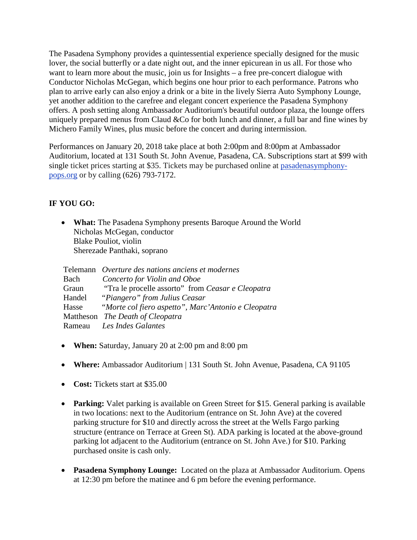The Pasadena Symphony provides a quintessential experience specially designed for the music lover, the social butterfly or a date night out, and the inner epicurean in us all. For those who want to learn more about the music, join us for Insights – a free pre-concert dialogue with Conductor Nicholas McGegan, which begins one hour prior to each performance. Patrons who plan to arrive early can also enjoy a drink or a bite in the lively Sierra Auto Symphony Lounge, yet another addition to the carefree and elegant concert experience the Pasadena Symphony offers. A posh setting along Ambassador Auditorium's beautiful outdoor plaza, the lounge offers uniquely prepared menus from Claud &Co for both lunch and dinner, a full bar and fine wines by Michero Family Wines, plus music before the concert and during intermission.

Performances on January 20, 2018 take place at both 2:00pm and 8:00pm at Ambassador Auditorium, located at 131 South St. John Avenue, Pasadena, CA. Subscriptions start at \$99 with single ticket prices starting at \$35. Tickets may be purchased online at [pasadenasymphony](http://www.pasadenasymphony-pops.org/)[pops.org](http://www.pasadenasymphony-pops.org/) or by calling (626) 793-7172.

## **IF YOU GO:**

• **What:** The Pasadena Symphony presents Baroque Around the World Nicholas McGegan, conductor Blake Pouliot, violin Sherezade Panthaki, soprano

|       | Telemann Overture des nations anciens et modernes         |
|-------|-----------------------------------------------------------|
| Bach  | Concerto for Violin and Oboe                              |
| Graun | "Tra le procelle assorto" from Ceasar e Cleopatra"        |
|       | Handel "Piangero" from Julius Ceasar                      |
|       | Hasse "Morte col fiero aspetto", Marc'Antonio e Cleopatra |
|       | Mattheson The Death of Cleopatra                          |
|       | Rameau Les Indes Galantes                                 |

- **When:** Saturday, January 20 at 2:00 pm and 8:00 pm
- **Where:** Ambassador Auditorium | 131 South St. John Avenue, Pasadena, CA 91105
- **Cost:** Tickets start at \$35.00
- **Parking:** Valet parking is available on Green Street for \$15. General parking is available in two locations: next to the Auditorium (entrance on St. John Ave) at the covered parking structure for \$10 and directly across the street at the Wells Fargo parking structure (entrance on Terrace at Green St). ADA parking is located at the above-ground parking lot adjacent to the Auditorium (entrance on St. John Ave.) for \$10. Parking purchased onsite is cash only.
- **Pasadena Symphony Lounge:** Located on the plaza at Ambassador Auditorium. Opens at 12:30 pm before the matinee and 6 pm before the evening performance.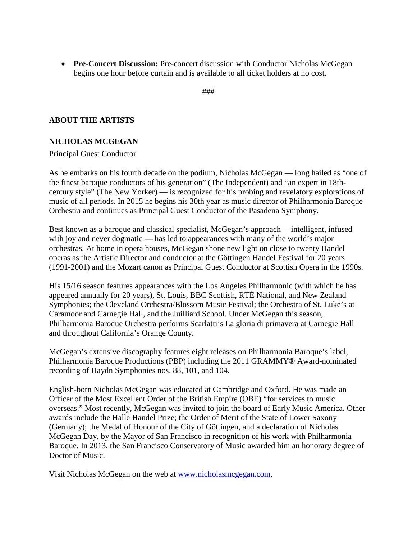• **Pre-Concert Discussion:** Pre-concert discussion with Conductor Nicholas McGegan begins one hour before curtain and is available to all ticket holders at no cost.

###

#### **ABOUT THE ARTISTS**

#### **NICHOLAS MCGEGAN**

Principal Guest Conductor

As he embarks on his fourth decade on the podium, Nicholas McGegan — long hailed as "one of the finest baroque conductors of his generation" (The Independent) and "an expert in 18thcentury style" (The New Yorker) — is recognized for his probing and revelatory explorations of music of all periods. In 2015 he begins his 30th year as music director of Philharmonia Baroque Orchestra and continues as Principal Guest Conductor of the Pasadena Symphony.

Best known as a baroque and classical specialist, McGegan's approach— intelligent, infused with joy and never dogmatic — has led to appearances with many of the world's major orchestras. At home in opera houses, McGegan shone new light on close to twenty Handel operas as the Artistic Director and conductor at the Göttingen Handel Festival for 20 years (1991-2001) and the Mozart canon as Principal Guest Conductor at Scottish Opera in the 1990s.

His 15/16 season features appearances with the Los Angeles Philharmonic (with which he has appeared annually for 20 years), St. Louis, BBC Scottish, RTÉ National, and New Zealand Symphonies; the Cleveland Orchestra/Blossom Music Festival; the Orchestra of St. Luke's at Caramoor and Carnegie Hall, and the Juilliard School. Under McGegan this season, Philharmonia Baroque Orchestra performs Scarlatti's La gloria di primavera at Carnegie Hall and throughout California's Orange County.

McGegan's extensive discography features eight releases on Philharmonia Baroque's label, Philharmonia Baroque Productions (PBP) including the 2011 GRAMMY® Award-nominated recording of Haydn Symphonies nos. 88, 101, and 104.

English-born Nicholas McGegan was educated at Cambridge and Oxford. He was made an Officer of the Most Excellent Order of the British Empire (OBE) "for services to music overseas." Most recently, McGegan was invited to join the board of Early Music America. Other awards include the Halle Handel Prize; the Order of Merit of the State of Lower Saxony (Germany); the Medal of Honour of the City of Göttingen, and a declaration of Nicholas McGegan Day, by the Mayor of San Francisco in recognition of his work with Philharmonia Baroque. In 2013, the San Francisco Conservatory of Music awarded him an honorary degree of Doctor of Music.

Visit Nicholas McGegan on the web at [www.nicholasmcgegan.com.](http://www.nicholasmcgegan.com/)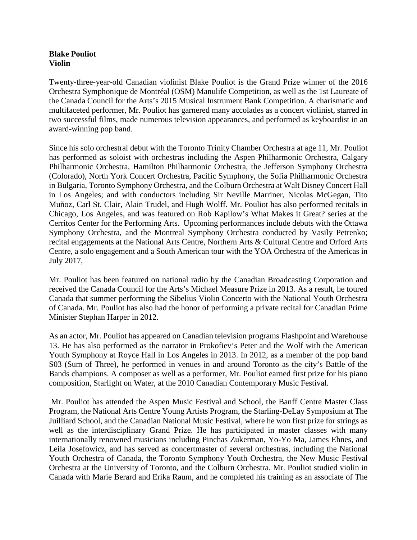#### **Blake Pouliot Violin**

Twenty-three-year-old Canadian violinist Blake Pouliot is the Grand Prize winner of the 2016 Orchestra Symphonique de Montréal (OSM) Manulife Competition, as well as the 1st Laureate of the Canada Council for the Arts's 2015 Musical Instrument Bank Competition. A charismatic and multifaceted performer, Mr. Pouliot has garnered many accolades as a concert violinist, starred in two successful films, made numerous television appearances, and performed as keyboardist in an award-winning pop band.

Since his solo orchestral debut with the Toronto Trinity Chamber Orchestra at age 11, Mr. Pouliot has performed as soloist with orchestras including the Aspen Philharmonic Orchestra, Calgary Philharmonic Orchestra, Hamilton Philharmonic Orchestra, the Jefferson Symphony Orchestra (Colorado), North York Concert Orchestra, Pacific Symphony, the Sofia Philharmonic Orchestra in Bulgaria, Toronto Symphony Orchestra, and the Colburn Orchestra at Walt Disney Concert Hall in Los Angeles; and with conductors including Sir Neville Marriner, Nicolas McGegan, Tito Muñoz, Carl St. Clair, Alain Trudel, and Hugh Wolff. Mr. Pouliot has also performed recitals in Chicago, Los Angeles, and was featured on Rob Kapilow's What Makes it Great? series at the Cerritos Center for the Performing Arts. Upcoming performances include debuts with the Ottawa Symphony Orchestra, and the Montreal Symphony Orchestra conducted by Vasily Petrenko; recital engagements at the National Arts Centre, Northern Arts & Cultural Centre and Orford Arts Centre, a solo engagement and a South American tour with the YOA Orchestra of the Americas in July 2017,

Mr. Pouliot has been featured on national radio by the Canadian Broadcasting Corporation and received the Canada Council for the Arts's Michael Measure Prize in 2013. As a result, he toured Canada that summer performing the Sibelius Violin Concerto with the National Youth Orchestra of Canada. Mr. Pouliot has also had the honor of performing a private recital for Canadian Prime Minister Stephan Harper in 2012.

As an actor, Mr. Pouliot has appeared on Canadian television programs Flashpoint and Warehouse 13. He has also performed as the narrator in Prokofiev's Peter and the Wolf with the American Youth Symphony at Royce Hall in Los Angeles in 2013. In 2012, as a member of the pop band S03 (Sum of Three), he performed in venues in and around Toronto as the city's Battle of the Bands champions. A composer as well as a performer, Mr. Pouliot earned first prize for his piano composition, Starlight on Water, at the 2010 Canadian Contemporary Music Festival.

Mr. Pouliot has attended the Aspen Music Festival and School, the Banff Centre Master Class Program, the National Arts Centre Young Artists Program, the Starling-DeLay Symposium at The Juilliard School, and the Canadian National Music Festival, where he won first prize for strings as well as the interdisciplinary Grand Prize. He has participated in master classes with many internationally renowned musicians including Pinchas Zukerman, Yo-Yo Ma, James Ehnes, and Leila Josefowicz, and has served as concertmaster of several orchestras, including the National Youth Orchestra of Canada, the Toronto Symphony Youth Orchestra, the New Music Festival Orchestra at the University of Toronto, and the Colburn Orchestra. Mr. Pouliot studied violin in Canada with Marie Berard and Erika Raum, and he completed his training as an associate of The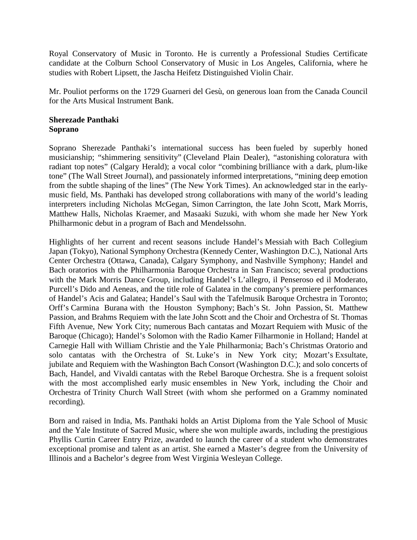Royal Conservatory of Music in Toronto. He is currently a Professional Studies Certificate candidate at the Colburn School Conservatory of Music in Los Angeles, California, where he studies with Robert Lipsett, the Jascha Heifetz Distinguished Violin Chair.

Mr. Pouliot performs on the 1729 Guarneri del Gesù, on generous loan from the Canada Council for the Arts Musical Instrument Bank.

#### **Sherezade Panthaki Soprano**

Soprano Sherezade Panthaki's international success has been fueled by superbly honed musicianship; "shimmering sensitivity" (Cleveland Plain Dealer), "astonishing coloratura with radiant top notes" (Calgary Herald); a vocal color "combining brilliance with a dark, plum-like tone" (The Wall Street Journal), and passionately informed interpretations, "mining deep emotion from the subtle shaping of the lines" (The New York Times). An acknowledged star in the earlymusic field, Ms. Panthaki has developed strong collaborations with many of the world's leading interpreters including Nicholas McGegan, Simon Carrington, the late John Scott, Mark Morris, Matthew Halls, Nicholas Kraemer, and Masaaki Suzuki, with whom she made her New York Philharmonic debut in a program of Bach and Mendelssohn.

Highlights of her current and recent seasons include Handel's Messiah with Bach Collegium Japan (Tokyo), National Symphony Orchestra (Kennedy Center, Washington D.C.), National Arts Center Orchestra (Ottawa, Canada), Calgary Symphony, and Nashville Symphony; Handel and Bach oratorios with the Philharmonia Baroque Orchestra in San Francisco; several productions with the Mark Morris Dance Group, including Handel's L'allegro, il Penseroso ed il Moderato, Purcell's Dido and Aeneas, and the title role of Galatea in the company's premiere performances of Handel's Acis and Galatea; Handel's Saul with the Tafelmusik Baroque Orchestra in Toronto; Orff's Carmina Burana with the Houston Symphony; Bach's St. John Passion, St. Matthew Passion, and Brahms Requiem with the late John Scott and the Choir and Orchestra of St. Thomas Fifth Avenue, New York City; numerous Bach cantatas and Mozart Requiem with Music of the Baroque (Chicago); Handel's Solomon with the Radio Kamer Filharmonie in Holland; Handel at Carnegie Hall with William Christie and the Yale Philharmonia; Bach's Christmas Oratorio and solo cantatas with the Orchestra of St. Luke's in New York city; Mozart's Exsultate, jubilate and Requiem with the Washington Bach Consort (Washington D.C.); and solo concerts of Bach, Handel, and Vivaldi cantatas with the Rebel Baroque Orchestra. She is a frequent soloist with the most accomplished early music ensembles in New York, including the Choir and Orchestra of Trinity Church Wall Street (with whom she performed on a Grammy nominated recording).

Born and raised in India, Ms. Panthaki holds an Artist Diploma from the Yale School of Music and the Yale Institute of Sacred Music, where she won multiple awards, including the prestigious Phyllis Curtin Career Entry Prize, awarded to launch the career of a student who demonstrates exceptional promise and talent as an artist. She earned a Master's degree from the University of Illinois and a Bachelor's degree from West Virginia Wesleyan College.